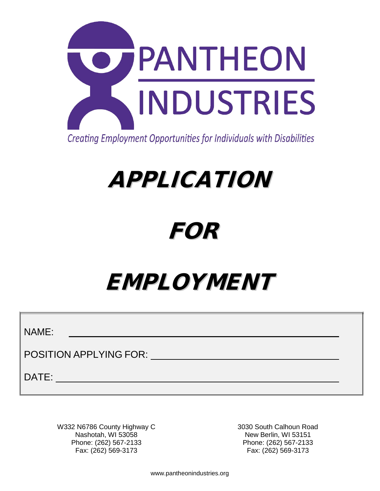

Creating Employment Opportunities for Individuals with Disabilities

# APPLICATION

## FOR

# EMPLOYMENT

NAME:

POSITION APPLYING FOR:

DATE:

W332 N6786 County Highway C Nashotah, WI 53058 Phone: (262) 567-2133 Fax: (262) 569-3173

3030 South Calhoun Road New Berlin, WI 53151 Phone: (262) 567-2133 Fax: (262) 569-3173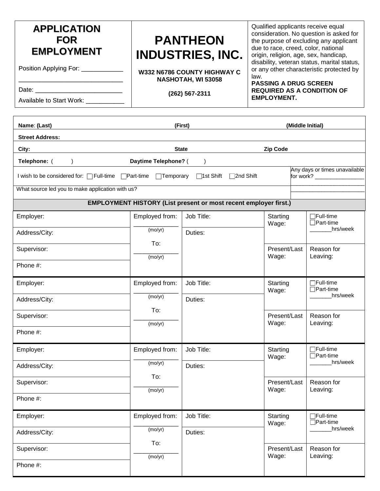| <b>APPLICATION</b><br><b>FOR</b><br><b>EMPLOYMENT</b><br>Position Applying For: ____________<br>Available to Start Work: 2000         | <b>PANTHEON</b><br><b>INDUSTRIES, INC.</b><br>W332 N6786 COUNTY HIGHWAY C<br>law.<br>NASHOTAH, WI 53058<br>(262) 567-2311 |                                                                         |                       | Qualified applicants receive equal<br>consideration. No question is asked for<br>the purpose of excluding any applicant<br>due to race, creed, color, national<br>origin, religion, age, sex, handicap,<br>disability, veteran status, marital status,<br>or any other characteristic protected by<br><b>PASSING A DRUG SCREEN</b><br><b>REQUIRED AS A CONDITION OF</b><br><b>EMPLOYMENT.</b> |                                      |  |
|---------------------------------------------------------------------------------------------------------------------------------------|---------------------------------------------------------------------------------------------------------------------------|-------------------------------------------------------------------------|-----------------------|-----------------------------------------------------------------------------------------------------------------------------------------------------------------------------------------------------------------------------------------------------------------------------------------------------------------------------------------------------------------------------------------------|--------------------------------------|--|
| Name: (Last)                                                                                                                          |                                                                                                                           | (First)                                                                 |                       |                                                                                                                                                                                                                                                                                                                                                                                               | (Middle Initial)                     |  |
| <b>Street Address:</b>                                                                                                                |                                                                                                                           |                                                                         |                       |                                                                                                                                                                                                                                                                                                                                                                                               |                                      |  |
| City:                                                                                                                                 |                                                                                                                           | <b>State</b>                                                            | <b>Zip Code</b>       |                                                                                                                                                                                                                                                                                                                                                                                               |                                      |  |
| Telephone: ()                                                                                                                         | Daytime Telephone? (                                                                                                      | $\lambda$                                                               |                       |                                                                                                                                                                                                                                                                                                                                                                                               |                                      |  |
| Any days or times unavailable<br>I wish to be considered for: □Full-time □Part-time □Temporary<br>□1st Shift □ 2nd Shift<br>for work? |                                                                                                                           |                                                                         |                       |                                                                                                                                                                                                                                                                                                                                                                                               |                                      |  |
| What source led you to make application with us?                                                                                      |                                                                                                                           |                                                                         |                       |                                                                                                                                                                                                                                                                                                                                                                                               |                                      |  |
|                                                                                                                                       |                                                                                                                           | <b>EMPLOYMENT HISTORY (List present or most recent employer first.)</b> |                       |                                                                                                                                                                                                                                                                                                                                                                                               |                                      |  |
| Employer:                                                                                                                             | Employed from:                                                                                                            | Job Title:                                                              | Starting<br>Wage:     |                                                                                                                                                                                                                                                                                                                                                                                               | $\Box$ Full-time<br>$\Box$ Part-time |  |
| Address/City:                                                                                                                         | (mo/yr)                                                                                                                   | Duties:                                                                 |                       |                                                                                                                                                                                                                                                                                                                                                                                               | hrs/week                             |  |
| Supervisor:                                                                                                                           | To:<br>(mo/yr)                                                                                                            |                                                                         | Present/Last<br>Wage: |                                                                                                                                                                                                                                                                                                                                                                                               | Reason for<br>Leaving:               |  |
| Phone $#$ :                                                                                                                           |                                                                                                                           |                                                                         |                       |                                                                                                                                                                                                                                                                                                                                                                                               |                                      |  |
| Employer:                                                                                                                             | Employed from:                                                                                                            | Job Title:                                                              | Starting<br>Wage:     |                                                                                                                                                                                                                                                                                                                                                                                               | $\Box$ Full-time<br>$\Box$ Part-time |  |
| Address/City:                                                                                                                         | (mo/yr)                                                                                                                   | Duties:                                                                 |                       |                                                                                                                                                                                                                                                                                                                                                                                               | hrs/week                             |  |
| Supervisor:                                                                                                                           | To:<br>(mo/yr)                                                                                                            |                                                                         | Present/Last<br>Wage: |                                                                                                                                                                                                                                                                                                                                                                                               | Reason for<br>Leaving:               |  |
| $Dh$ nna $H$                                                                                                                          |                                                                                                                           |                                                                         |                       |                                                                                                                                                                                                                                                                                                                                                                                               |                                      |  |

| Supervisor:   | (mo/yr)        |            | Present/Last<br>Wage: | Reason for<br>Leaving:                |
|---------------|----------------|------------|-----------------------|---------------------------------------|
| Phone #:      |                |            |                       |                                       |
| Employer:     | Employed from: | Job Title: | Starting<br>Wage:     | $\Box$ Full-time<br>$\Box$ Part-time  |
| Address/City: | (mo/yr)<br>To: | Duties:    |                       | hrs/week                              |
| Supervisor:   | (mo/yr)        |            | Present/Last<br>Wage: | Reason for<br>Leaving:                |
| Phone #:      |                |            |                       |                                       |
| Employer:     | Employed from: | Job Title: | Starting<br>Wage:     | <b>TFull-time</b><br>$\Box$ Part-time |
| Address/City: | (mo/yr)<br>To: | Duties:    |                       | hrs/week                              |
| Supervisor:   | (mo/yr)        |            | Present/Last<br>Wage: | Reason for<br>Leaving:                |
| Phone #:      |                |            |                       |                                       |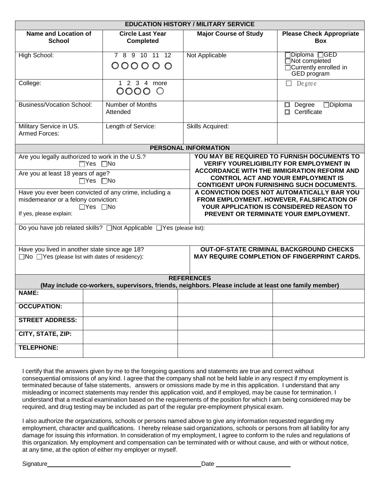| <b>EDUCATION HISTORY / MILITARY SERVICE</b>                                                                                                                                                                                                                            |                                                                                                                                                                                                        |                                                                                                                                                                                                                                                                                                                                                                                                                                                                                                                                                 |                                                                               |  |  |  |
|------------------------------------------------------------------------------------------------------------------------------------------------------------------------------------------------------------------------------------------------------------------------|--------------------------------------------------------------------------------------------------------------------------------------------------------------------------------------------------------|-------------------------------------------------------------------------------------------------------------------------------------------------------------------------------------------------------------------------------------------------------------------------------------------------------------------------------------------------------------------------------------------------------------------------------------------------------------------------------------------------------------------------------------------------|-------------------------------------------------------------------------------|--|--|--|
| <b>Name and Location of</b><br><b>School</b>                                                                                                                                                                                                                           | <b>Circle Last Year</b><br><b>Completed</b>                                                                                                                                                            | <b>Major Course of Study</b>                                                                                                                                                                                                                                                                                                                                                                                                                                                                                                                    | <b>Please Check Appropriate</b><br><b>Box</b>                                 |  |  |  |
| High School:                                                                                                                                                                                                                                                           | 7 8 9 10 11 12<br>0000000                                                                                                                                                                              | Not Applicable                                                                                                                                                                                                                                                                                                                                                                                                                                                                                                                                  | ]Diploma □GED<br>$\Box$ Not completed<br>Currently enrolled in<br>GED program |  |  |  |
| College:                                                                                                                                                                                                                                                               | 1 2 3 4 more<br>0000<br>$\bigcirc$                                                                                                                                                                     |                                                                                                                                                                                                                                                                                                                                                                                                                                                                                                                                                 | $\Box$ Degree                                                                 |  |  |  |
| <b>Business/Vocation School:</b>                                                                                                                                                                                                                                       | Number of Months<br>Attended                                                                                                                                                                           |                                                                                                                                                                                                                                                                                                                                                                                                                                                                                                                                                 | $\Box$ Diploma<br>Degree<br>0<br>Certificate<br>п                             |  |  |  |
| Military Service in US.<br>Armed Forces:                                                                                                                                                                                                                               | Length of Service:                                                                                                                                                                                     | Skills Acquired:                                                                                                                                                                                                                                                                                                                                                                                                                                                                                                                                |                                                                               |  |  |  |
|                                                                                                                                                                                                                                                                        |                                                                                                                                                                                                        | <b>PERSONAL INFORMATION</b>                                                                                                                                                                                                                                                                                                                                                                                                                                                                                                                     |                                                                               |  |  |  |
| Are you legally authorized to work in the U.S.?<br>Are you at least 18 years of age?<br>misdemeanor or a felony conviction:<br>If yes, please explain:<br>Have you lived in another state since age 18?<br>$\Box$ No $\Box$ Yes (please list with dates of residency): | $\Box$ Yes $\Box$ No<br>$\Box Y$ es $\Box$ No<br>Have you ever been convicted of any crime, including a<br>$\Box$ Yes $\Box$ No<br>Do you have job related skills? □Not Applicable □Yes (please list): | YOU MAY BE REQUIRED TO FURNISH DOCUMENTS TO<br><b>VERIFY YOURELIGIBILITY FOR EMPLOYMENT IN</b><br><b>ACCORDANCE WITH THE IMMIGRATION REFORM AND</b><br><b>CONTROL ACT AND YOUR EMPLOYMENT IS</b><br><b>CONTIGENT UPON FURNISHING SUCH DOCUMENTS.</b><br>A CONVICTION DOES NOT AUTOMATICALLY BAR YOU<br>FROM EMPLOYMENT. HOWEVER, FALSIFICATION OF<br>YOUR APPLICATION IS CONSIDERED REASON TO<br>PREVENT OR TERMINATE YOUR EMPLOYMENT.<br><b>OUT-OF-STATE CRIMINAL BACKGROUND CHECKS</b><br><b>MAY REQUIRE COMPLETION OF FINGERPRINT CARDS.</b> |                                                                               |  |  |  |
|                                                                                                                                                                                                                                                                        |                                                                                                                                                                                                        | <b>REFERENCES</b>                                                                                                                                                                                                                                                                                                                                                                                                                                                                                                                               |                                                                               |  |  |  |
| <b>NAME:</b>                                                                                                                                                                                                                                                           |                                                                                                                                                                                                        | (May include co-workers, supervisors, friends, neighbors. Please include at least one family member)                                                                                                                                                                                                                                                                                                                                                                                                                                            |                                                                               |  |  |  |
|                                                                                                                                                                                                                                                                        |                                                                                                                                                                                                        |                                                                                                                                                                                                                                                                                                                                                                                                                                                                                                                                                 |                                                                               |  |  |  |
| <b>OCCUPATION:</b>                                                                                                                                                                                                                                                     |                                                                                                                                                                                                        |                                                                                                                                                                                                                                                                                                                                                                                                                                                                                                                                                 |                                                                               |  |  |  |
| <b>STREET ADDRESS:</b>                                                                                                                                                                                                                                                 |                                                                                                                                                                                                        |                                                                                                                                                                                                                                                                                                                                                                                                                                                                                                                                                 |                                                                               |  |  |  |
| CITY, STATE, ZIP:                                                                                                                                                                                                                                                      |                                                                                                                                                                                                        |                                                                                                                                                                                                                                                                                                                                                                                                                                                                                                                                                 |                                                                               |  |  |  |
| <b>TELEPHONE:</b>                                                                                                                                                                                                                                                      |                                                                                                                                                                                                        |                                                                                                                                                                                                                                                                                                                                                                                                                                                                                                                                                 |                                                                               |  |  |  |

I certify that the answers given by me to the foregoing questions and statements are true and correct without consequential omissions of any kind. I agree that the company shall not be held liable in any respect if my employment is terminated because of false statements, answers or omissions made by me in this application. I understand that any misleading or incorrect statements may render this application void, and if employed, may be cause for termination. I understand that a medical examination based on the requirements of the position for which I am being considered may be required, and drug testing may be included as part of the regular pre-employment physical exam.

I also authorize the organizations, schools or persons named above to give any information requested regarding my employment, character and qualifications. I hereby release said organizations, schools or persons from all liability for any damage for issuing this information. In consideration of my employment, I agree to conform to the rules and regulations of this organization. My employment and compensation can be terminated with or without cause, and with or without notice, at any time, at the option of either my employer or myself.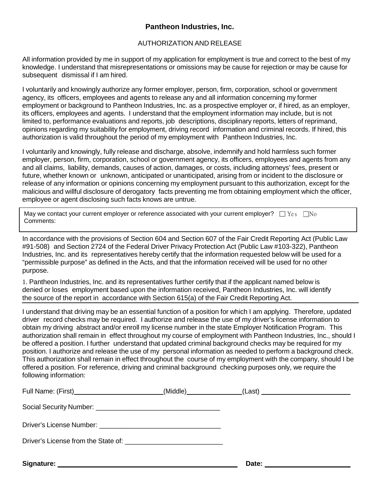### **Pantheon Industries, Inc.**

### AUTHORIZATION AND RELEASE

All information provided by me in support of my application for employment is true and correct to the best of my knowledge. I understand that misrepresentations or omissions may be cause for rejection or may be cause for subsequent dismissal if I am hired.

I voluntarily and knowingly authorize any former employer, person, firm, corporation, school or government agency, its officers, employees and agents to release any and all information concerning my former employment or background to Pantheon Industries, Inc. as a prospective employer or, if hired, as an employer, its officers, employees and agents. I understand that the employment information may include, but is not limited to, performance evaluations and reports, job descriptions, disciplinary reports, letters of reprimand, opinions regarding my suitability for employment, driving record information and criminal records. If hired, this authorization is valid throughout the period of my employment with Pantheon Industries, Inc.

I voluntarily and knowingly, fully release and discharge, absolve, indemnify and hold harmless such former employer, person, firm, corporation, school or government agency, its officers, employees and agents from any and all claims, liability, demands, causes of action, damages, or costs, including attorneys' fees, present or future, whether known or unknown, anticipated or unanticipated, arising from or incident to the disclosure or release of any information or opinions concerning my employment pursuant to this authorization, except for the malicious and willful disclosure of derogatory facts preventing me from obtaining employment which the officer, employee or agent disclosing such facts knows are untrue.

| May we contact your current employer or reference associated with your current employer? $\square$ Yes $\square$ No |  |
|---------------------------------------------------------------------------------------------------------------------|--|
| Comments:                                                                                                           |  |

In accordance with the provisions of Section 604 and Section 607 of the Fair Credit Reporting Act (Public Law #91-508) and Section 2724 of the Federal Driver Privacy Protection Act (Public Law #103-322), Pantheon Industries, Inc. and its representatives hereby certify that the information requested below will be used for a "permissible purpose" as defined in the Acts, and that the information received will be used for no other purpose.

1. Pantheon Industries, Inc. and its representatives further certify that if the applicant named below is denied or loses employment based upon the information received, Pantheon Industries, Inc. will identify the source of the report in accordance with Section 615(a) of the Fair Credit Reporting Act.

I understand that driving may be an essential function of a position for which I am applying. Therefore, updated driver record checks may be required. I authorize and release the use of my driver's license information to obtain my driving abstract and/or enroll my license number in the state Employer Notification Program. This authorization shall remain in effect throughout my course of employment with Pantheon Industries, Inc., should I be offered a position. I further understand that updated criminal background checks may be required for my position. I authorize and release the use of my personal information as needed to perform a background check. This authorization shall remain in effect throughout the course of my employment with the company, should I be offered a position. For reference, driving and criminal background checking purposes only, we require the following information:

|            | _(Middle)_________________(Last) ____________________________ |  |
|------------|---------------------------------------------------------------|--|
|            |                                                               |  |
|            |                                                               |  |
|            |                                                               |  |
| Signature: | Date:                                                         |  |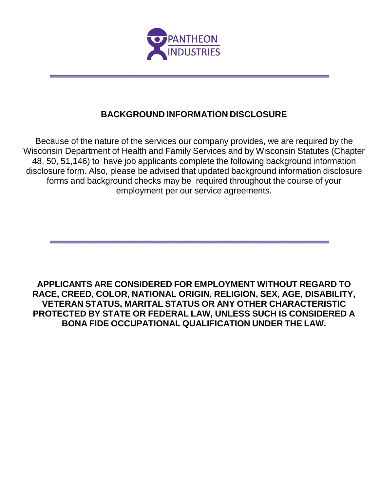

### **BACKGROUND INFORMATION DISCLOSURE**

Because of the nature of the services our company provides, we are required by the Wisconsin Department of Health and Family Services and by Wisconsin Statutes (Chapter 48, 50, 51,146) to have job applicants complete the following background information disclosure form. Also, please be advised that updated background information disclosure forms and background checks may be required throughout the course of your employment per our service agreements.

**APPLICANTS ARE CONSIDERED FOR EMPLOYMENT WITHOUT REGARD TO RACE, CREED, COLOR, NATIONAL ORIGIN, RELIGION, SEX, AGE, DISABILITY, VETERAN STATUS, MARITAL STATUS OR ANY OTHER CHARACTERISTIC PROTECTED BY STATE OR FEDERAL LAW, UNLESS SUCH IS CONSIDERED A BONA FIDE OCCUPATIONAL QUALIFICATION UNDER THE LAW.**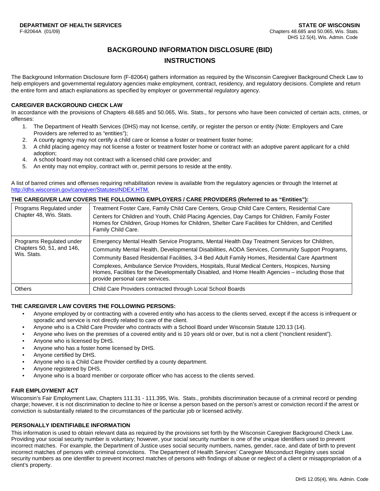### **BACKGROUND INFORMATION DISCLOSURE (BID)**

### **INSTRUCTIONS**

The Background Information Disclosure form (F-82064) gathers information as required by the Wisconsin Caregiver Background Check Law to help employers and governmental regulatory agencies make employment, contract, residency, and regulatory decisions. Complete and return the entire form and attach explanations as specified by employer or governmental regulatory agency.

### **CAREGIVER BACKGROUND CHECK LAW**

In accordance with the provisions of Chapters 48.685 and 50.065, Wis. Stats., for persons who have been convicted of certain acts, crimes, or offenses:

- 1. The Department of Health Services (DHS) may not license, certify, or register the person or entity (Note: Employers and Care Providers are referred to as "entities");
- 2. A county agency may not certify a child care or license a foster or treatment foster home;
- 3. A child placing agency may not license a foster or treatment foster home or contract with an adoptive parent applicant for a child adoption;
- 4. A school board may not contract with a licensed child care provider; and
- 5. An entity may not employ, contract with or, permit persons to reside at the entity.

A list of barred crimes and offenses requiring rehabilitation review is available from the regulatory agencies or through the Internet at http://dhs.wisconsin.gov/caregiver/StatutesINDEX.HTM.

### **THE CAREGIVER LAW COVERS THE FOLLOWING EMPLOYERS / CARE PROVIDERS (Referred to as "Entities"):**

| Programs Regulated under<br>Chapter 48, Wis. Stats.                  | Treatment Foster Care, Family Child Care Centers, Group Child Care Centers, Residential Care<br>Centers for Children and Youth, Child Placing Agencies, Day Camps for Children, Family Foster<br>Homes for Children, Group Homes for Children, Shelter Care Facilities for Children, and Certified<br>Family Child Care.                                                                                                                                                                                                                   |
|----------------------------------------------------------------------|--------------------------------------------------------------------------------------------------------------------------------------------------------------------------------------------------------------------------------------------------------------------------------------------------------------------------------------------------------------------------------------------------------------------------------------------------------------------------------------------------------------------------------------------|
| Programs Regulated under<br>Chapters 50, 51, and 146,<br>Wis. Stats. | Emergency Mental Health Service Programs, Mental Health Day Treatment Services for Children,<br>Community Mental Health, Developmental Disabilities, AODA Services, Community Support Programs,<br>Community Based Residential Facilities, 3-4 Bed Adult Family Homes, Residential Care Apartment<br>Complexes, Ambulance Service Providers, Hospitals, Rural Medical Centers, Hospices, Nursing<br>Homes, Facilities for the Developmentally Disabled, and Home Health Agencies - including those that<br>provide personal care services. |
| <b>Others</b>                                                        | Child Care Providers contracted through Local School Boards                                                                                                                                                                                                                                                                                                                                                                                                                                                                                |

### **THE CAREGIVER LAW COVERS THE FOLLOWING PERSONS:**

- Anyone employed by or contracting with a covered entity who has access to the clients served, except if the access is infrequent or sporadic and service is not directly related to care of the client.
- Anyone who is a Child Care Provider who contracts with a School Board under Wisconsin Statute 120.13 (14).
- Anyone who lives on the premises of a covered entity and is 10 years old or over, but is not a client ("nonclient resident").
- Anyone who is licensed by DHS.
- Anyone who has a foster home licensed by DHS.
- Anyone certified by DHS.
- Anyone who is a Child Care Provider certified by a county department.
- Anyone registered by DHS.
- Anyone who is a board member or corporate officer who has access to the clients served.

### **FAIR EMPLOYMENT ACT**

Wisconsin's Fair Employment Law, Chapters 111.31 - 111.395, Wis. Stats., prohibits discrimination because of a criminal record or pending charge; however, it is not discrimination to decline to hire or license a person based on the person's arrest or conviction record if the arrest or conviction is substantially related to the circumstances of the particular job or licensed activity.

### **PERSONALLY IDENTIFIABLE INFORMATION**

This information is used to obtain relevant data as required by the provisions set forth by the Wisconsin Caregiver Background Check Law. Providing your social security number is voluntary; however, your social security number is one of the unique identifiers used to prevent incorrect matches. For example, the Department of Justice uses social security numbers, names, gender, race, and date of birth to prevent incorrect matches of persons with criminal convictions. The Department of Health Services' Caregiver Misconduct Registry uses social security numbers as one identifier to prevent incorrect matches of persons with findings of abuse or neglect of a client or misappropriation of a client's property.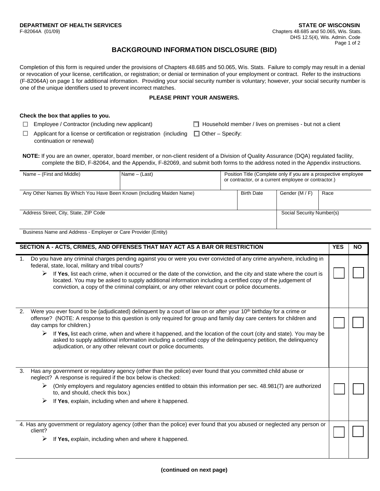### **BACKGROUND INFORMATION DISCLOSURE (BID)**

Completion of this form is required under the provisions of Chapters 48.685 and 50.065, Wis. Stats. Failure to comply may result in a denial or revocation of your license, certification, or registration; or denial or termination of your employment or contract. Refer to the instructions (F-82064A) on page 1 for additional information. Providing your social security number is voluntary; however, your social security number is one of the unique identifiers used to prevent incorrect matches.

#### **PLEASE PRINT YOUR ANSWERS.**

### **Check the box that applies to you.**

 $\Box$  Employee / Contractor (including new applicant)  $\Box$  Household member / lives on premises - but not a client

- $\Box$  Applicant for a license or certification or registration (including  $\Box$  Other Specify: continuation or renewal)
	-
- **NOTE:** If you are an owner, operator, board member, or non-client resident of a Division of Quality Assurance (DQA) regulated facility, complete the BID, F-82064, and the Appendix, F-82069, and submit both forms to the address noted in the Appendix instructions.

| Name $-$ (First and Middle)                                          | Name - (Last) | Position Title (Complete only if you are a prospective employee<br>or contractor, or a current employee or contractor.) |                   |                           |      |
|----------------------------------------------------------------------|---------------|-------------------------------------------------------------------------------------------------------------------------|-------------------|---------------------------|------|
| Any Other Names By Which You Have Been Known (Including Maiden Name) |               |                                                                                                                         | <b>Birth Date</b> | Gender (M / F)            | Race |
| Address Street, City, State, ZIP Code                                |               |                                                                                                                         |                   | Social Security Number(s) |      |

Business Name and Address - Employer or Care Provider (Entity)

|    | SECTION A - ACTS, CRIMES, AND OFFENSES THAT MAY ACT AS A BAR OR RESTRICTION                                                                                                                                                                                                                                                                                                                                                                                                                                                                                                                               | <b>YES</b> | <b>NO</b> |
|----|-----------------------------------------------------------------------------------------------------------------------------------------------------------------------------------------------------------------------------------------------------------------------------------------------------------------------------------------------------------------------------------------------------------------------------------------------------------------------------------------------------------------------------------------------------------------------------------------------------------|------------|-----------|
|    | Do you have any criminal charges pending against you or were you ever convicted of any crime anywhere, including in<br>federal, state, local, military and tribal courts?<br>If Yes, list each crime, when it occurred or the date of the conviction, and the city and state where the court is<br>➤<br>located. You may be asked to supply additional information including a certified copy of the judgement of<br>conviction, a copy of the criminal complaint, or any other relevant court or police documents.                                                                                       |            |           |
| 2. | Were you ever found to be (adjudicated) delinguent by a court of law on or after your 10 <sup>th</sup> birthday for a crime or<br>offense? (NOTE: A response to this question is only required for group and family day care centers for children and<br>day camps for children.)<br>$\triangleright$ If Yes, list each crime, when and where it happened, and the location of the court (city and state). You may be<br>asked to supply additional information including a certified copy of the delinquency petition, the delinquency<br>adjudication, or any other relevant court or police documents. |            |           |
| 3. | Has any government or regulatory agency (other than the police) ever found that you committed child abuse or<br>neglect? A response is required if the box below is checked:<br>(Only employers and regulatory agencies entitled to obtain this information per sec. 48.981(7) are authorized<br>➤<br>to, and should, check this box.)<br>➤<br>If Yes, explain, including when and where it happened.                                                                                                                                                                                                     |            |           |
|    | 4. Has any government or regulatory agency (other than the police) ever found that you abused or neglected any person or<br>client?<br>➤<br>If Yes, explain, including when and where it happened.                                                                                                                                                                                                                                                                                                                                                                                                        |            |           |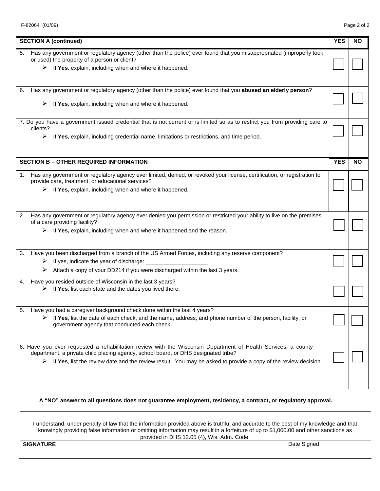|    | <b>SECTION A (continued)</b>                                                                                                                                                                                                                                                                                                           | <b>YES</b> | <b>NO</b> |
|----|----------------------------------------------------------------------------------------------------------------------------------------------------------------------------------------------------------------------------------------------------------------------------------------------------------------------------------------|------------|-----------|
| 5. | Has any government or regulatory agency (other than the police) ever found that you misappropriated (improperly took<br>or used) the property of a person or client?<br>$\triangleright$ If Yes, explain, including when and where it happened.                                                                                        |            |           |
| 6. | Has any government or regulatory agency (other than the police) ever found that you abused an elderly person?<br>If Yes, explain, including when and where it happened.<br>➤                                                                                                                                                           |            |           |
|    | 7. Do you have a government issued credential that is not current or is limited so as to restrict you from providing care to<br>clients?<br>$\triangleright$ If Yes, explain, including credential name, limitations or restrictions, and time period.                                                                                 |            |           |
|    | <b>SECTION B - OTHER REQUIRED INFORMATION</b>                                                                                                                                                                                                                                                                                          | <b>YES</b> | <b>NO</b> |
| 1. | Has any government or regulatory agency ever limited, denied, or revoked your license, certification, or registration to<br>provide care, treatment, or educational services?<br>If Yes, explain, including when and where it happened.<br>➤                                                                                           |            |           |
| 2. | Has any government or regulatory agency ever denied you permission or restricted your ability to live on the premises<br>of a care providing facility?<br>$\triangleright$ If Yes, explain, including when and where it happened and the reason.                                                                                       |            |           |
| 3. | Have you been discharged from a branch of the US Armed Forces, including any reserve component?<br>$\triangleright$ If yes, indicate the year of discharge:<br>Attach a copy of your DD214 if you were discharged within the last 3 years.                                                                                             |            |           |
| 4. | Have you resided outside of Wisconsin in the last 3 years?<br>If Yes, list each state and the dates you lived there.<br>➤                                                                                                                                                                                                              |            |           |
| 5. | Have you had a caregiver background check done within the last 4 years?<br>If Yes, list the date of each check, and the name, address, and phone number of the person, facility, or<br>government agency that conducted each check.                                                                                                    |            |           |
|    | 6. Have you ever requested a rehabilitation review with the Wisconsin Department of Health Services, a county<br>department, a private child placing agency, school board, or DHS designated tribe?<br>$\triangleright$ If Yes, list the review date and the review result. You may be asked to provide a copy of the review decision. |            |           |

**A "NO" answer to all questions does not guarantee employment, residency, a contract, or regulatory approval.**

I understand, under penalty of law that the information provided above is truthful and accurate to the best of my knowledge and that knowingly providing false information or omitting information may result in a forfeiture of up to \$1,000.00 and other sanctions as provided in DHS 12.05 (4), Wis. Adm. Code.

**SIGNATURE** Date Signed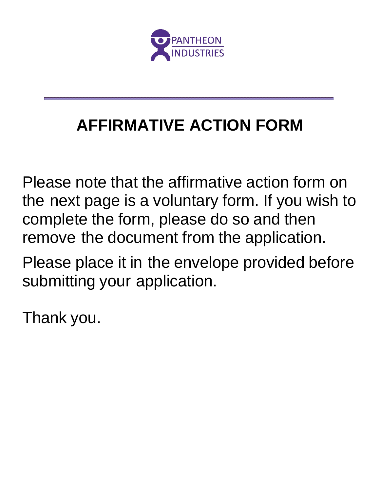

## **AFFIRMATIVE ACTION FORM**

Please note that the affirmative action form on the next page is a voluntary form. If you wish to complete the form, please do so and then remove the document from the application.

Please place it in the envelope provided before submitting your application.

Thank you.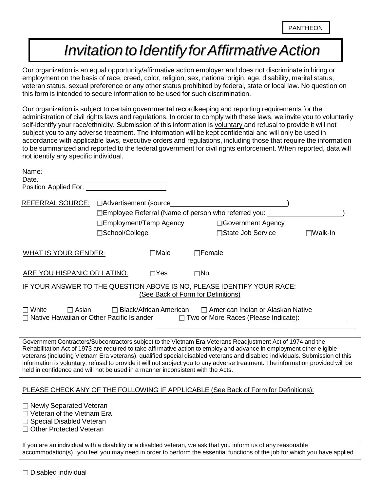### *InvitationtoIdentifyforAffirmativeAction*

Our organization is an equal opportunity/affirmative action employer and does not discriminate in hiring or employment on the basis of race, creed, color, religion, sex, national origin, age, disability, marital status, veteran status, sexual preference or any other status prohibited by federal, state or local law. No question on this form is intended to secure information to be used for such discrimination.

Our organization is subject to certain governmental recordkeeping and reporting requirements for the administration of civil rights laws and regulations. In order to comply with these laws, we invite you to voluntarily self-identify your race/ethnicity. Submission of this information is voluntary and refusal to provide it will not subject you to any adverse treatment. The information will be kept confidential and will only be used in accordance with applicable laws, executive orders and regulations, including those that require the information to be summarized and reported to the federal government for civil rights enforcement. When reported, data will not identify any specific individual.

| Date:                                                                                                                          | <u> 1980 - Johann Barn, mars an t-Amerikaansk kommunister (</u> |                                    |               |                                                                                                                                                                                                                                                                                                                                                                                                                                                                                                       |                   |
|--------------------------------------------------------------------------------------------------------------------------------|-----------------------------------------------------------------|------------------------------------|---------------|-------------------------------------------------------------------------------------------------------------------------------------------------------------------------------------------------------------------------------------------------------------------------------------------------------------------------------------------------------------------------------------------------------------------------------------------------------------------------------------------------------|-------------------|
| Position Applied For:                                                                                                          |                                                                 |                                    |               |                                                                                                                                                                                                                                                                                                                                                                                                                                                                                                       |                   |
| REFERRAL SOURCE: CAdvertisement (source_                                                                                       |                                                                 |                                    |               |                                                                                                                                                                                                                                                                                                                                                                                                                                                                                                       |                   |
|                                                                                                                                |                                                                 |                                    |               | □Employee Referral (Name of person who referred you: ___________________________                                                                                                                                                                                                                                                                                                                                                                                                                      |                   |
|                                                                                                                                | ⊟Employment/Temp Agency                                         |                                    |               | □Government Agency                                                                                                                                                                                                                                                                                                                                                                                                                                                                                    |                   |
|                                                                                                                                | □School/College                                                 |                                    |               | □State Job Service                                                                                                                                                                                                                                                                                                                                                                                                                                                                                    | $\square$ Walk-In |
| <b>WHAT IS YOUR GENDER:</b>                                                                                                    |                                                                 | $\square$ Male                     | $\Box$ Female |                                                                                                                                                                                                                                                                                                                                                                                                                                                                                                       |                   |
| <b>ARE YOU HISPANIC OR LATINO:</b>                                                                                             |                                                                 | $\Box Y$ es                        | $\square$ No  |                                                                                                                                                                                                                                                                                                                                                                                                                                                                                                       |                   |
|                                                                                                                                |                                                                 | (See Back of Form for Definitions) |               | IF YOUR ANSWER TO THE QUESTION ABOVE IS NO, PLEASE IDENTIFY YOUR RACE:                                                                                                                                                                                                                                                                                                                                                                                                                                |                   |
| $\Box$ White<br>$\Box$ Asian<br>□ Native Hawaiian or Other Pacific Islander                                                    |                                                                 | $\Box$ Black/African American      |               | □ American Indian or Alaskan Native<br>□ Two or More Races (Please Indicate): <u>□ National</u>                                                                                                                                                                                                                                                                                                                                                                                                       |                   |
| held in confidence and will not be used in a manner inconsistent with the Acts.                                                |                                                                 |                                    |               | Government Contractors/Subcontractors subject to the Vietnam Era Veterans Readjustment Act of 1974 and the<br>Rehabilitation Act of 1973 are required to take affirmative action to employ and advance in employment other eligible<br>veterans (including Vietnam Era veterans), qualified special disabled veterans and disabled individuals. Submission of this<br>information is voluntary; refusal to provide it will not subject you to any adverse treatment. The information provided will be |                   |
|                                                                                                                                |                                                                 |                                    |               | PLEASE CHECK ANY OF THE FOLLOWING IF APPLICABLE (See Back of Form for Definitions):                                                                                                                                                                                                                                                                                                                                                                                                                   |                   |
| $\Box$ Newly Separated Veteran<br>$\Box$ Veteran of the Vietnam Era<br>□ Special Disabled Veteran<br>□ Other Protected Veteran |                                                                 |                                    |               |                                                                                                                                                                                                                                                                                                                                                                                                                                                                                                       |                   |
|                                                                                                                                |                                                                 |                                    |               |                                                                                                                                                                                                                                                                                                                                                                                                                                                                                                       |                   |

If you are an individual with a disability or a disabled veteran, we ask that you inform us of any reasonable accommodation(s) you feel you may need in order to perform the essential functions of the job for which you have applied.